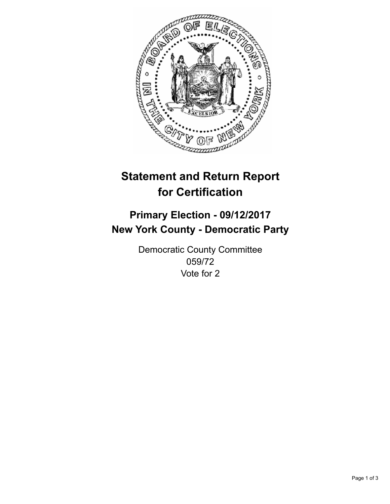

## **Statement and Return Report for Certification**

## **Primary Election - 09/12/2017 New York County - Democratic Party**

Democratic County Committee 059/72 Vote for 2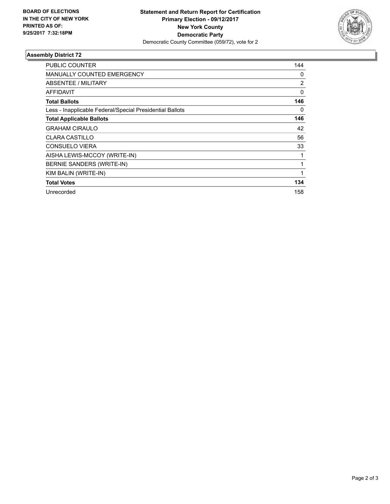

## **Assembly District 72**

| PUBLIC COUNTER                                           | 144 |
|----------------------------------------------------------|-----|
| <b>MANUALLY COUNTED EMERGENCY</b>                        | 0   |
| <b>ABSENTEE / MILITARY</b>                               | 2   |
| <b>AFFIDAVIT</b>                                         | 0   |
| <b>Total Ballots</b>                                     | 146 |
| Less - Inapplicable Federal/Special Presidential Ballots | 0   |
| <b>Total Applicable Ballots</b>                          | 146 |
| <b>GRAHAM CIRAULO</b>                                    | 42  |
| <b>CLARA CASTILLO</b>                                    | 56  |
| <b>CONSUELO VIERA</b>                                    | 33  |
| AISHA LEWIS-MCCOY (WRITE-IN)                             | 1   |
| BERNIE SANDERS (WRITE-IN)                                | 1   |
| KIM BALIN (WRITE-IN)                                     | 1   |
| <b>Total Votes</b>                                       | 134 |
| Unrecorded                                               | 158 |